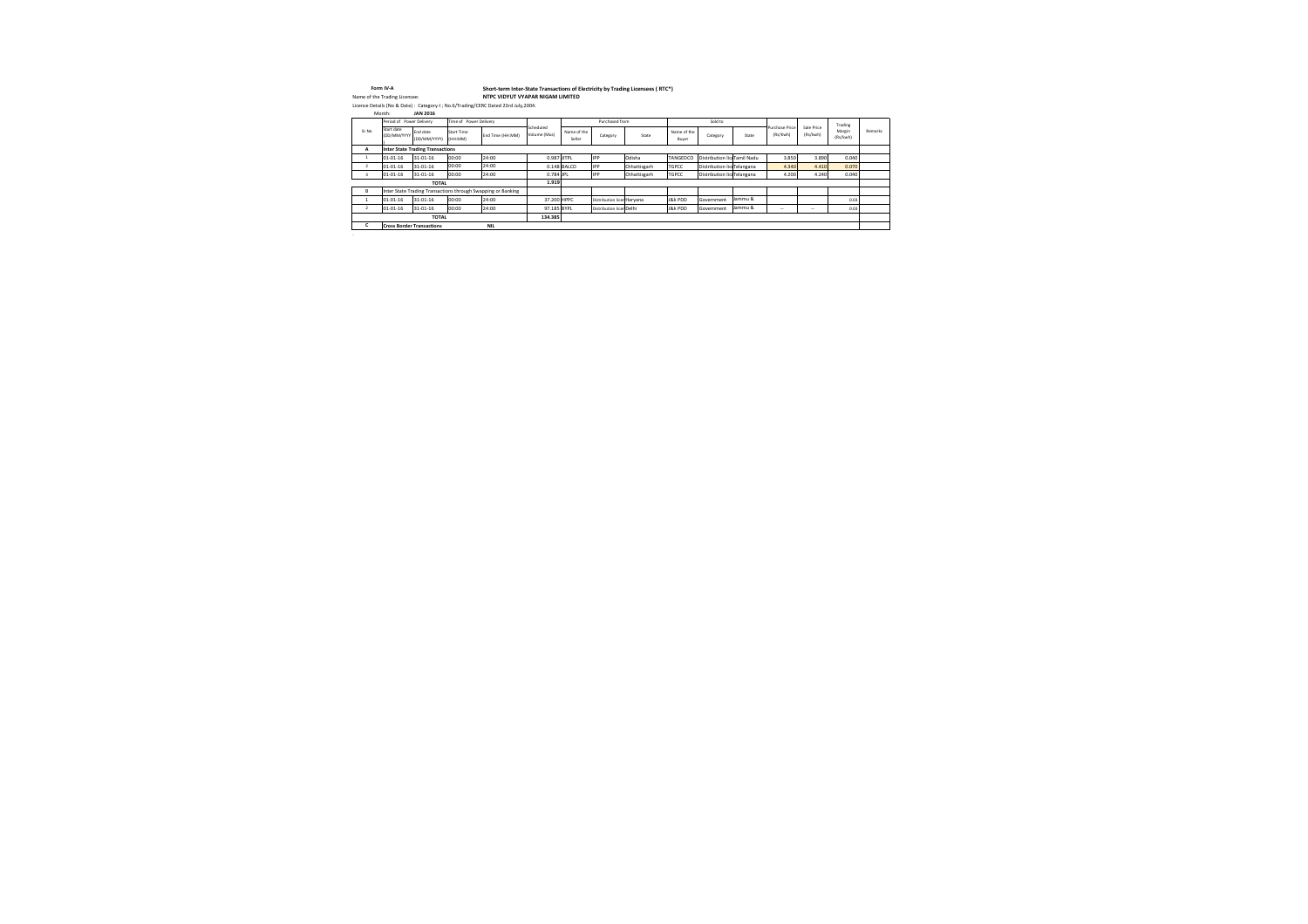|                | Form IV-A                        |                                  |                              | Short-term Inter-State Transactions of Electricity by Trading Licensees (RTC*)    |                           |                       |                            |              |                      |                             |         |                            |                          |                    |         |
|----------------|----------------------------------|----------------------------------|------------------------------|-----------------------------------------------------------------------------------|---------------------------|-----------------------|----------------------------|--------------|----------------------|-----------------------------|---------|----------------------------|--------------------------|--------------------|---------|
|                | Name of the Trading Licensee:    |                                  |                              | NTPC VIDYUT VYAPAR NIGAM LIMITED                                                  |                           |                       |                            |              |                      |                             |         |                            |                          |                    |         |
|                |                                  |                                  |                              | Licence Details (No & Date): Category-I; No.6/Trading/CERC Dated 23rd July, 2004. |                           |                       |                            |              |                      |                             |         |                            |                          |                    |         |
|                | Month:                           | <b>JAN 2016</b>                  |                              |                                                                                   |                           |                       |                            |              |                      |                             |         |                            |                          |                    |         |
|                | Period of Power Delivery         |                                  | Time of Power Delivery       |                                                                                   |                           |                       | Purchased from             |              |                      | Sold to                     |         |                            |                          | Trading            |         |
| Sr.No          | Start date<br>(DD/MM/YYYY        | End date<br>(DD/MM/YYYY)         | <b>Start Time</b><br>(HH:MM) | End Time (HH:MM)                                                                  | Scheduled<br>Volume (Mus) | Name of the<br>Seller | Category                   | State        | Name of the<br>Buyer | Category                    | State   | Purchase Price<br>(Rs/Kwh) | Sale Price<br>(Rs/kwh)   | Margin<br>(Rs/kwh) | Remarks |
| A              |                                  | Inter State Trading Transactions |                              |                                                                                   |                           |                       |                            |              |                      |                             |         |                            |                          |                    |         |
| - 1            | 01-01-16                         | 31-01-16                         | 00:00                        | 24:00                                                                             | 0.987 JITPL               |                       | IPP.                       | Odisha       | TANGEDCO             | Distribution lic Tamil Nadu |         | 3.850                      | 3.890                    | 0.040              |         |
| $\overline{2}$ | 01-01-16                         | 31-01-16                         | 00:00                        | 24:00                                                                             |                           | $0.148$ BALCO         | <b>IPP</b>                 | Chhattisgarh | <b>TGPCC</b>         | Distribution lic Telangana  |         | 4.340                      | 4.410                    | 0.070              |         |
| 3              | $01 - 01 - 16$                   | 31-01-16                         | 00:00                        | 24:00                                                                             | 0.784 JPL                 |                       | <b>IPP</b>                 | Chhattisgarh | <b>TGPCC</b>         | Distribution lic Telangana  |         | 4.200                      | 4.240                    | 0.040              |         |
|                |                                  | <b>TOTAL</b>                     |                              |                                                                                   | 1.919                     |                       |                            |              |                      |                             |         |                            |                          |                    |         |
| B              |                                  |                                  |                              | Inter State Trading Transactions through Swapping or Banking                      |                           |                       |                            |              |                      |                             |         |                            |                          |                    |         |
|                | $01 - 01 - 16$                   | 31-01-16                         | 00:00                        | 24:00                                                                             | 37.200 HPPC               |                       | Distribution licer Haryana |              | J&k PDD              | Government                  | Jammu & |                            |                          | 0.03               |         |
| $\overline{2}$ | 01-01-16                         | 31-01-16                         | 00:00                        | 24:00                                                                             | 97.185 BYPL               |                       | Distribution licer Delhi   |              | J&k PDD              | Government                  | Jammu & | $\sim$ $\sim$              | $\overline{\phantom{a}}$ | 0.03               |         |
|                |                                  | <b>TOTAL</b>                     |                              |                                                                                   | 134.385                   |                       |                            |              |                      |                             |         |                            |                          |                    |         |
|                | <b>Cross Border Transactions</b> |                                  |                              | <b>NIL</b>                                                                        |                           |                       |                            |              |                      |                             |         |                            |                          |                    |         |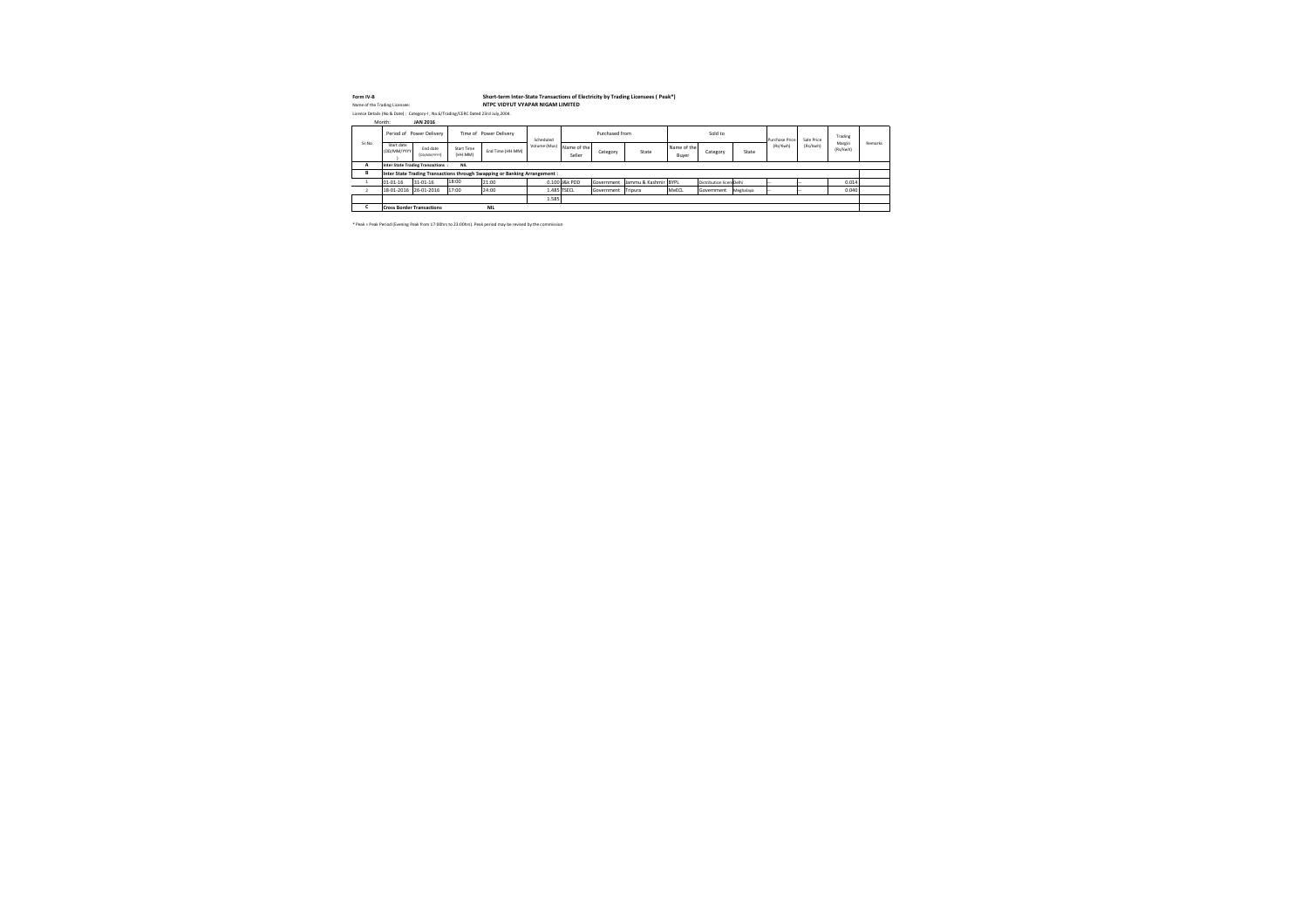| Form IV-B |                               |                           |                                                                                   |                              | Short-term Inter-State Transactions of Electricity by Trading Licensees (Peak*) |              |                       |                |                      |                      |                          |           |                       |            |                    |         |
|-----------|-------------------------------|---------------------------|-----------------------------------------------------------------------------------|------------------------------|---------------------------------------------------------------------------------|--------------|-----------------------|----------------|----------------------|----------------------|--------------------------|-----------|-----------------------|------------|--------------------|---------|
|           | Name of the Trading Licensee: |                           |                                                                                   |                              | NTPC VIDYUT VYAPAR NIGAM LIMITED                                                |              |                       |                |                      |                      |                          |           |                       |            |                    |         |
|           |                               |                           | Licence Details (No & Date): Category-I; No.6/Trading/CERC Dated 23rd July, 2004. |                              |                                                                                 |              |                       |                |                      |                      |                          |           |                       |            |                    |         |
|           | Month:                        |                           | <b>JAN 2016</b>                                                                   |                              |                                                                                 |              |                       |                |                      |                      |                          |           |                       |            |                    |         |
|           |                               |                           | Period of Power Delivery                                                          |                              | Time of Power Delivery                                                          | Scheduled    |                       | Purchased from |                      |                      | Sold to                  |           | <b>Purchase Price</b> | Sale Price | Trading            |         |
| Sr.No     |                               | Start date<br>(DD/MM/YYYY | End date<br>(DD/MM/YYYY)                                                          | <b>Start Time</b><br>(HH:MM) | End Time (HH:MM)                                                                | Volume (Mus) | Name of the<br>Seller | Category       | State                | Name of the<br>Buyer | Category                 | State     | (Rs/Kwh)              | (Rs/kwh)   | Margin<br>(Rs/kwh) | Remarks |
| A         |                               |                           | Inter State Trading Transactions:                                                 | <b>NIL</b>                   |                                                                                 |              |                       |                |                      |                      |                          |           |                       |            |                    |         |
| В         |                               |                           |                                                                                   |                              | Inter State Trading Transactions through Swapping or Banking Arrangement:       |              |                       |                |                      |                      |                          |           |                       |            |                    |         |
|           | 01-01-16                      |                           | 31-01-16                                                                          | 18:00                        | 21:00                                                                           |              | 0.100 J&k PDD         | Government     | Jammu & Kashmir BYPL |                      | Distribution licen Delhi |           |                       |            | 0.014              |         |
|           |                               | 18-01-2016                | 26-01-2016                                                                        | 17:00                        | 24:00                                                                           |              | 1.485 TSECL           | Government     | Tripura              | MeECL                | Government               | Meghalaya |                       |            | 0.040              |         |
|           |                               |                           |                                                                                   |                              |                                                                                 | 1.585        |                       |                |                      |                      |                          |           |                       |            |                    |         |
| U         |                               |                           | <b>Cross Border Transactions</b>                                                  |                              | <b>NIL</b>                                                                      |              |                       |                |                      |                      |                          |           |                       |            |                    |         |

\* Peak = Peak Period (Evening Peak from 17:00hrs to 23:00hrs). Peak period may be revised by the commission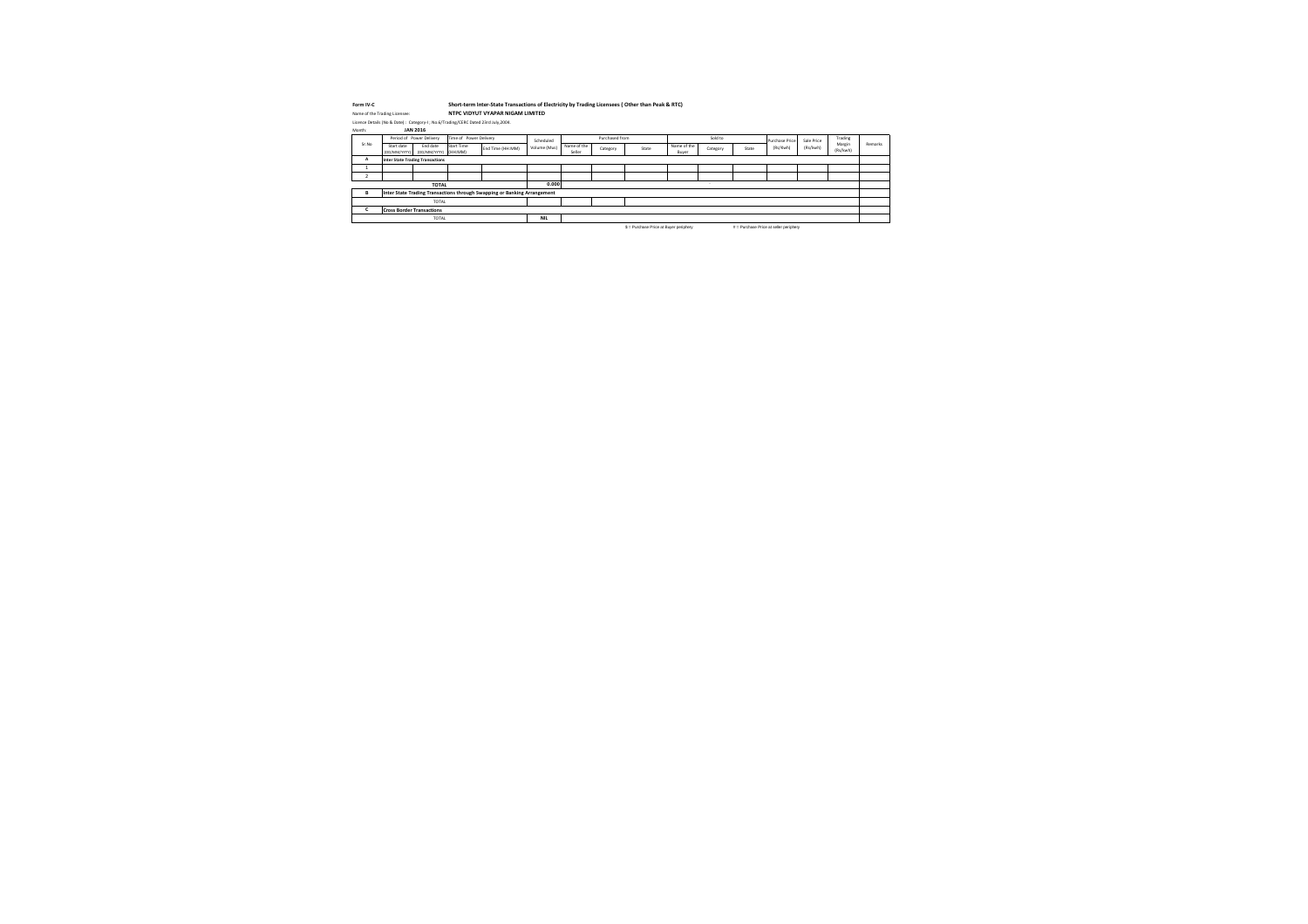| Form IV-C |                                                                                     |                                           | Short-term Inter-State Transactions of Electricity by Trading Licensees (Other than Peak & RTC) |              |                       |                |       |                      |          |       |                                            |            |                    |         |
|-----------|-------------------------------------------------------------------------------------|-------------------------------------------|-------------------------------------------------------------------------------------------------|--------------|-----------------------|----------------|-------|----------------------|----------|-------|--------------------------------------------|------------|--------------------|---------|
|           | Name of the Trading Licensee:                                                       |                                           | NTPC VIDYUT VYAPAR NIGAM LIMITED                                                                |              |                       |                |       |                      |          |       |                                            |            |                    |         |
|           | Licence Details (No & Date) : Category-I ; No.6/Trading/CERC Dated 23rd July, 2004. |                                           |                                                                                                 |              |                       |                |       |                      |          |       |                                            |            |                    |         |
| Month:    | <b>JAN 2016</b>                                                                     |                                           |                                                                                                 |              |                       |                |       |                      |          |       |                                            |            |                    |         |
|           | Period of Power Delivery                                                            | Time of Power Delivery                    |                                                                                                 | Scheduled    |                       | Purchased from |       |                      | Sold to  |       | <b>Purchase Price</b>                      | Sale Price | Trading            |         |
| Sr.No     | End date<br>Start date<br>(DD/MM/YYYY)                                              | <b>Start Time</b><br>(DD/MM/YYYY) (HH:MM) | End Time (HH:MM)                                                                                | Volume (Mus) | Name of the<br>Seller | Category       | State | Name of the<br>Buyer | Category | State | (Rs/Kwh)                                   | (Rs/kwh)   | Margin<br>(Rs/kwh) | Remarks |
| A         | <b>Inter State Trading Transactions</b>                                             |                                           |                                                                                                 |              |                       |                |       |                      |          |       |                                            |            |                    |         |
|           |                                                                                     |                                           |                                                                                                 |              |                       |                |       |                      |          |       |                                            |            |                    |         |
|           |                                                                                     |                                           |                                                                                                 |              |                       |                |       |                      |          |       |                                            |            |                    |         |
|           | <b>TOTAL</b>                                                                        |                                           |                                                                                                 | 0.000        |                       |                |       |                      |          |       |                                            |            |                    |         |
| B         | Inter State Trading Transactions through Swapping or Banking Arrangement            |                                           |                                                                                                 |              |                       |                |       |                      |          |       |                                            |            |                    |         |
|           | <b>TOTAL</b>                                                                        |                                           |                                                                                                 |              |                       |                |       |                      |          |       |                                            |            |                    |         |
|           | <b>Cross Border Transactions</b>                                                    |                                           |                                                                                                 |              |                       |                |       |                      |          |       |                                            |            |                    |         |
|           | <b>TOTAL</b>                                                                        |                                           |                                                                                                 | <b>NIL</b>   |                       |                |       |                      |          |       |                                            |            |                    |         |
|           |                                                                                     |                                           |                                                                                                 |              |                       |                |       |                      |          |       | $\alpha$ is the set of the set of $\alpha$ |            |                    |         |

 $$ =$  Purchase Price at Buyer periphery  $$ # =$  Purchase Price at seller periphery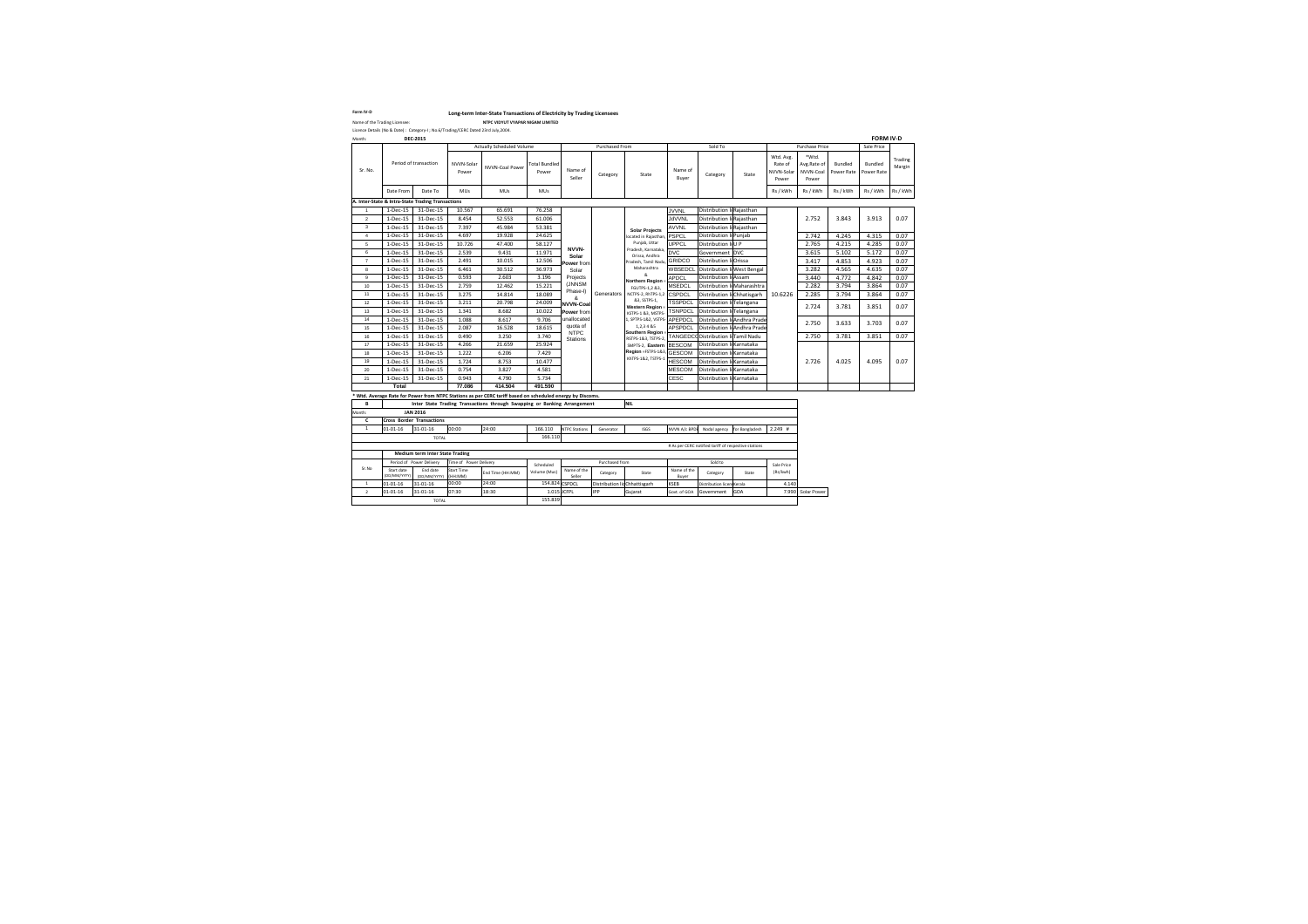Name of the Trading Licensee: **NTPC VIDYUT VYAPAR NIGAM LIMITED**

| Name of the Trading Licensee:<br>Licence Details (No & Date): Category-I; No.6/Trading/CERC Dated 23rd July, 2004. | Form IV-D |                 | Long-term Inter-State Transactio |
|--------------------------------------------------------------------------------------------------------------------|-----------|-----------------|----------------------------------|
|                                                                                                                    |           |                 | <b>NTPC VIDYUT VYAPAR N</b>      |
|                                                                                                                    |           |                 |                                  |
|                                                                                                                    | Month:    | <b>DEC-2015</b> |                                  |
|                                                                                                                    |           |                 | <b>Actually Scheduled Volur</b>  |

| Month:          |                                  | <b>DEC-2015</b>                                   |                        |                                                                                                           |                               |                                |                              |                                          |                      |                                                      |                              |                                             |                                            |                              | <b>FORM IV-D</b>             |                   |
|-----------------|----------------------------------|---------------------------------------------------|------------------------|-----------------------------------------------------------------------------------------------------------|-------------------------------|--------------------------------|------------------------------|------------------------------------------|----------------------|------------------------------------------------------|------------------------------|---------------------------------------------|--------------------------------------------|------------------------------|------------------------------|-------------------|
|                 |                                  |                                                   |                        | <b>Actually Scheduled Volume</b>                                                                          |                               |                                | Purchased From               |                                          |                      | Sold To                                              |                              |                                             | Purchase Price                             |                              | Sale Price                   |                   |
| Sr. No.         |                                  | Period of transaction                             | NVVN-Solar<br>Power    | NVVN-Coal Power                                                                                           | <b>Total Bundled</b><br>Power | Name of<br>Seller              | Category                     | State                                    | Name of<br>Buyer     | Category                                             | State                        | Wtd. Avg.<br>Rate of<br>NVVN-Solar<br>Power | *Wtd.<br>Avg.Rate of<br>NVVN-Coal<br>Power | <b>Bundled</b><br>Power Rate | <b>Bundled</b><br>Power Rate | Trading<br>Margin |
|                 | Date From                        | Date To                                           | <b>MUs</b>             | <b>MUs</b>                                                                                                | <b>MUs</b>                    |                                |                              |                                          |                      |                                                      |                              | Rs / kWh                                    | Rs / kWh                                   | Rs / kWh                     | Rs / kWh                     | Rs / kWh          |
|                 |                                  | A. Inter-State & Intra-State Trading Transactions |                        |                                                                                                           |                               |                                |                              |                                          |                      |                                                      |                              |                                             |                                            |                              |                              |                   |
|                 | 1-Dec-15                         | 31-Dec-15                                         | 10.567                 | 65.691                                                                                                    | 76.258                        |                                |                              |                                          | <b>JVVNL</b>         | Distribution li Rajasthan                            |                              |                                             |                                            |                              |                              |                   |
| $\overline{2}$  | 1-Dec-15                         | 31-Dec-15                                         | 8.454                  | 52.553                                                                                                    | 61.006                        |                                |                              |                                          | <b>JdVVNL</b>        | Distribution li Rajasthan                            |                              |                                             | 2.752                                      | 3.843                        | 3.913                        | 0.07              |
| 3               | 1-Dec-15                         | 31-Dec-15                                         | 7.397                  | 45.984                                                                                                    | 53.381                        |                                |                              | <b>Solar Projects</b>                    | <b>AVVNL</b>         | Distribution li Rajasthan                            |                              |                                             |                                            |                              |                              |                   |
| $\overline{4}$  | 1-Dec-15                         | 31-Dec-15                                         | 4.697                  | 19.928                                                                                                    | 24.625                        |                                |                              | located in Rajasthan, PSPCL              |                      | Distribution li Punjab                               |                              |                                             | 2.742                                      | 4.245                        | 4.315                        | 0.07              |
| $5\overline{)}$ | 1-Dec-15                         | 31-Dec-15                                         | 10.726                 | 47.400                                                                                                    | 58.127                        | <b>NVVN-</b>                   |                              | Punjab, Uttar                            | UPPCL                | Distribution                                         | liU P                        |                                             | 2.765                                      | 4.215                        | 4.285                        | 0.07              |
| 6               | 1-Dec-15                         | 31-Dec-15                                         | 2.539                  | 9.431                                                                                                     | 11.971                        | Solar                          |                              | Pradesh, Karnataka,<br>Orissa, Andhra    | <b>DVC</b>           | Government DVC                                       |                              |                                             | 3.615                                      | 5.102                        | 5.172                        | 0.07              |
| $\overline{7}$  | 1-Dec-15                         | 31-Dec-15                                         | 2.491                  | 10.015                                                                                                    | 12.506                        | Power from                     |                              | Pradesh, Tamil Nadu, GRIDCO              |                      | Distribution                                         | li <b>O</b> rissa            |                                             | 3.417                                      | 4.853                        | 4.923                        | 0.07              |
| 8               | $1-Dec-15$                       | 31-Dec-15                                         | 6.461                  | 30.512                                                                                                    | 36.973                        | Solar                          |                              | Maharashtra                              | <b>WBSEDCI</b>       | Distribution                                         | li West Bengal               |                                             | 3.282                                      | 4.565                        | 4.635                        | 0.07              |
| 9               | 1-Dec-15                         | 31-Dec-15                                         | 0.593                  | 2.603                                                                                                     | 3.196                         | Projects                       |                              | ጼ<br><b>Northern Region:</b>             | <b>APDCL</b>         | Distribution li Assam                                |                              |                                             | 3.440                                      | 4.772                        | 4.842                        | 0.07              |
| 10 <sup>°</sup> | 1-Dec-15                         | 31-Dec-15                                         | 2.759                  | 12.462                                                                                                    | 15.221                        | (JNNSM                         |                              | FGUTPS-1,2 &3,                           | <b>MSEDCL</b>        | Distribution                                         | li Maharashtra               |                                             | 2.282                                      | 3.794                        | 3.864                        | 0.07              |
| 11              | 1-Dec-15                         | 31-Dec-15                                         | 3.275                  | 14.814                                                                                                    | 18.089                        | Phase-I)<br>&                  | Generators                   | NCTPS-2, RhTPS-1,2 CSPDCL                |                      | Distribution                                         | li Chhatisgarh               | 10.6226                                     | 2.285                                      | 3.794                        | 3.864                        | 0.07              |
| 12              | $1-Dec-15$                       | 31-Dec-15                                         | 3.211                  | 20.798                                                                                                    | 24.009                        | <b>NVVN-Coal</b>               |                              | &3, SSTPS-1,<br><b>Western Region =</b>  | <b>TSSPDCL</b>       | Distribution                                         | li Telangana                 |                                             | 2.724                                      | 3.781                        | 3.851                        | 0.07              |
| 13              | 1-Dec-15                         | 31-Dec-15                                         | 1.341                  | 8.682                                                                                                     | 10.022                        | Power from                     |                              | KSTPS-1 &3, MSTPS-                       | <b>TSNPDCL</b>       | Distribution                                         | li <b>Telangana</b>          |                                             |                                            |                              |                              |                   |
| 14              | 1-Dec-15                         | 31-Dec-15                                         | 1.088                  | 8.617                                                                                                     | 9.706                         | unallocated                    |                              | 1, SPTPS-1&2, VSTPS-APEPDCL              |                      |                                                      | Distribution li Andhra Prade |                                             | 2.750                                      | 3.633                        | 3.703                        | 0.07              |
| 15              | 1-Dec-15                         | 31-Dec-15                                         | 2.087                  | 16.528                                                                                                    | 18.615                        | quota of                       |                              | 1,2,3 4 & 5                              | <b>APSPDCL</b>       |                                                      | Distribution li Andhra Prade |                                             |                                            |                              |                              |                   |
| 16              | 1-Dec-15                         | 31-Dec-15                                         | 0.490                  | 3.250                                                                                                     | 3.740                         | <b>NTPC</b><br><b>Stations</b> |                              | Southern Region =<br>RSTPS-1&3, TSTPS-2, |                      | TANGEDCODistribution                                 | li Tamil Nadu                |                                             | 2.750                                      | 3.781                        | 3.851                        | 0.07              |
| 17              | $1-Dec-15$                       | 31-Dec-15                                         | 4.266                  | 21.659                                                                                                    | 25.924                        |                                |                              | SMPTS-2, Eastern BESCOM                  |                      | Distribution li Karnataka                            |                              |                                             |                                            |                              |                              |                   |
| 18              | 1-Dec-15                         | 31-Dec-15                                         | 1.222                  | 6.206                                                                                                     | 7.429                         |                                |                              | Region =FSTPS-1&3, GESCOM                |                      | Distribution                                         | li Karnataka                 |                                             |                                            |                              |                              |                   |
| 19              | $1-Dec-15$                       | 31-Dec-15                                         | 1.724                  | 8.753                                                                                                     | 10.477                        |                                |                              | KhTPS-1&2, TSTPS-1                       | <b>HESCOM</b>        | Distribution                                         | li Karnataka                 |                                             | 2.726                                      | 4.025                        | 4.095                        | 0.07              |
| 20              | 1-Dec-15                         | 31-Dec-15                                         | 0.754                  | 3.827                                                                                                     | 4.581                         |                                |                              |                                          | <b>MESCOM</b>        | Distribution li Karnataka                            |                              |                                             |                                            |                              |                              |                   |
| 21              | 1-Dec-15                         | 31-Dec-15                                         | 0.943                  | 4.790                                                                                                     | 5.734                         |                                |                              |                                          | <b>CESC</b>          | Distribution                                         | li Karnataka                 |                                             |                                            |                              |                              |                   |
|                 | <b>Total</b>                     |                                                   | 77.086                 | 414.504                                                                                                   | 491.590                       |                                |                              |                                          |                      |                                                      |                              |                                             |                                            |                              |                              |                   |
|                 |                                  |                                                   |                        | * Wtd. Average Rate for Power from NTPC Stations as per CERC tariff based on scheduled energy by Discoms. |                               |                                |                              |                                          |                      |                                                      |                              |                                             |                                            |                              |                              |                   |
| B               |                                  |                                                   |                        | Inter State Trading Transactions through Swapping or Banking Arrangement                                  |                               |                                |                              | <b>NIL</b>                               |                      |                                                      |                              |                                             |                                            |                              |                              |                   |
| Month:          |                                  | <b>JAN 2016</b>                                   |                        |                                                                                                           |                               |                                |                              |                                          |                      |                                                      |                              |                                             |                                            |                              |                              |                   |
| C               | <b>Cross Border Transactions</b> |                                                   |                        |                                                                                                           |                               |                                |                              |                                          |                      |                                                      |                              |                                             |                                            |                              |                              |                   |
| 1               | $01 - 01 - 16$                   | 31-01-16                                          | 00:00                  | 24:00                                                                                                     | 166.110                       | <b>NTPC Stations</b>           | Generator                    | <b>ISGS</b>                              | NVVN A/c BPDE        | Nodal agency                                         | for Bangladesh               | $2.249$ #                                   |                                            |                              |                              |                   |
|                 |                                  | <b>TOTAL</b>                                      |                        |                                                                                                           | 166.110                       |                                |                              |                                          |                      |                                                      |                              |                                             |                                            |                              |                              |                   |
|                 |                                  |                                                   |                        |                                                                                                           |                               |                                |                              |                                          |                      | # As per CERC notified tariff of respective stations |                              |                                             |                                            |                              |                              |                   |
|                 |                                  | <b>Medium term Inter State Trading</b>            |                        |                                                                                                           |                               |                                |                              |                                          |                      |                                                      |                              |                                             |                                            |                              |                              |                   |
|                 |                                  | Period of Power Delivery                          | Time of Power Delivery |                                                                                                           | Scheduled                     |                                | Purchased from               |                                          |                      | Sold to                                              |                              | Sale Price                                  |                                            |                              |                              |                   |
| Sr.No           | Start date<br>(DD/MM/YYYY)       | End date<br>(DD/MM/YYYY)                          | Start Time<br>(HH:MM)  | End Time (HH:MM)                                                                                          | Volume (Mus)                  | Name of the<br>Seller          | Category                     | State                                    | Name of the<br>Buyer | Category                                             | State                        | (Rs/kwh)                                    |                                            |                              |                              |                   |
| 1               | $01 - 01 - 16$                   | 31-01-16                                          | 00:00                  | 24:00                                                                                                     | 154.824 CSPDCL                |                                | Distribution licChhattisgarh |                                          | <b>KSEB</b>          | Distribution licen: Kerala                           |                              | 4.140                                       |                                            |                              |                              |                   |
| $\overline{2}$  | $01 - 01 - 16$                   | 31-01-16                                          | 07:30                  | 18:30                                                                                                     | 1.015 JCFPL                   |                                | <b>IPP</b>                   | Gujarat                                  | Govt. of GOA         | Government                                           | <b>GOA</b>                   |                                             | 7.990 Solar Power                          |                              |                              |                   |
|                 | 155.839<br>TOTAL                 |                                                   |                        |                                                                                                           |                               |                                |                              |                                          |                      |                                                      |                              |                                             |                                            |                              |                              |                   |

### **Form Interate By Trading Licensees**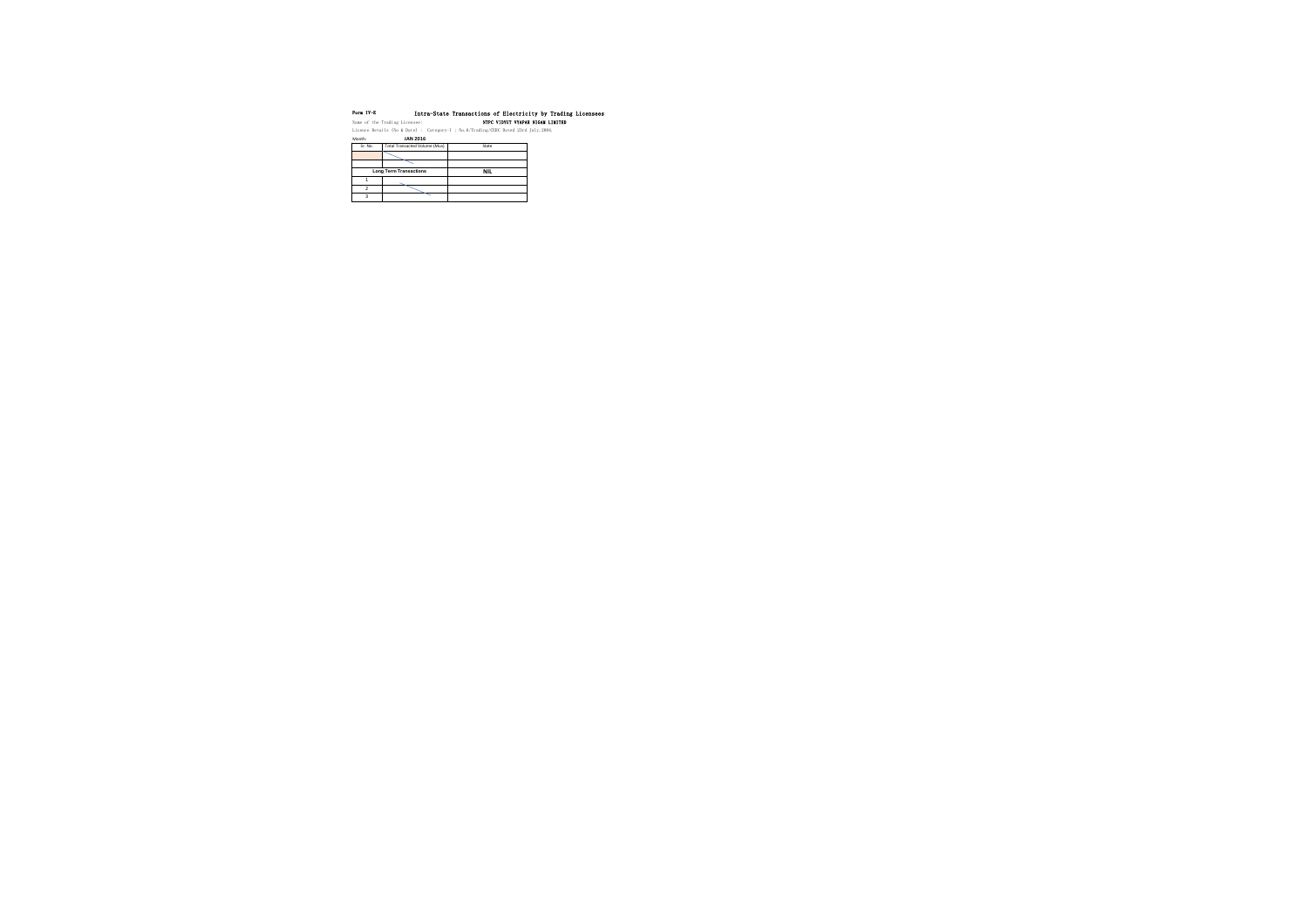| Form IV-E      | Name of the Trading Licensee: | NTPC VIDYUT VYAPAR NIGAM LIMITED                                                       | Intra-State Transactions of Electricity by Trading Licensees |
|----------------|-------------------------------|----------------------------------------------------------------------------------------|--------------------------------------------------------------|
|                |                               | Licence Details (No & Date) : Category-I ; No. $6/Trading/CERC$ Dated 23rd July, 2004. |                                                              |
| Month:         | <b>JAN 2016</b>               |                                                                                        |                                                              |
| Sr. No.        | Total Transacted Volume (Mus) | State                                                                                  |                                                              |
|                |                               |                                                                                        |                                                              |
|                |                               |                                                                                        |                                                              |
|                | <b>Long Term Transactions</b> | <b>NIL</b>                                                                             |                                                              |
| 1              |                               |                                                                                        |                                                              |
| $\mathfrak{p}$ |                               |                                                                                        |                                                              |

3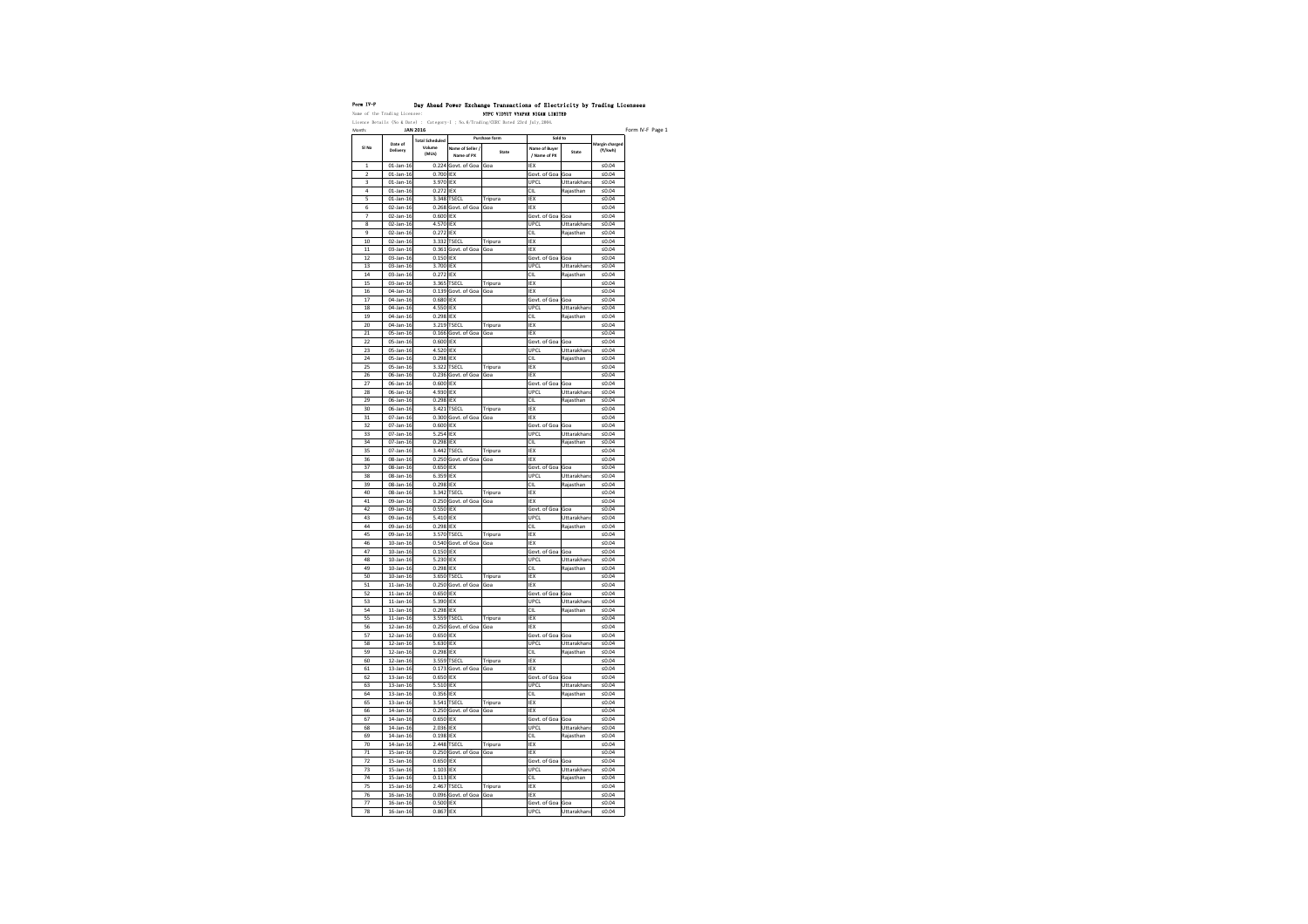| Form IV-F                                                                  | Day Ahead Power Exchange Transaction |                    |
|----------------------------------------------------------------------------|--------------------------------------|--------------------|
| Name of the Trading Licensee:                                              |                                      | NTPC VIDYUT VYAPAI |
| Licence Details (No & Date) : $Categorical$ ; No.6/Trading/CERC Dated 23rd |                                      |                    |

| Month:   |                                 | <b>JAN 2016</b>                           |                                |                        |                                          |                          |                           |
|----------|---------------------------------|-------------------------------------------|--------------------------------|------------------------|------------------------------------------|--------------------------|---------------------------|
| SI No    | Date of<br><b>Delivery</b>      | <b>Total Scheduled</b><br>Volume<br>(MUs) | Name of Seller /<br>Name of PX | Purchase form<br>State | Sold to<br>Name of Buyer<br>/ Name of PX | <b>State</b>             | Margin charged<br>(₹/kwh) |
| 1        | $01$ -Jan-16                    |                                           | 0.224 Govt. of Goa             | Goa                    | IEX                                      |                          | ≤ $0.04$                  |
| 2        | $01$ -Jan-16                    | 0.700 IEX                                 |                                |                        | Govt. of Goa                             | Goa                      | ≤ $0.04$                  |
| 3        | $01$ -Jan-16                    | 3.970 IEX                                 |                                |                        | <b>UPCL</b>                              | Uttarakhand              | ≤ $0.04$                  |
| 4        | $01$ -Jan-16                    | 0.272 IEX                                 |                                |                        | <b>CIL</b>                               | Rajasthan                | ≤ $0.04$                  |
| 5        | $01$ -Jan-16                    |                                           | 3.348 TSECL                    | Tripura                | IEX                                      |                          | $≤0.04$                   |
| 6        | $02$ -Jan-16                    |                                           | 0.268 Govt. of Goa             | Goa                    | <b>IEX</b>                               |                          | ≤ $0.04$                  |
| 7        | 02-Jan-16                       | 0.600 IEX                                 |                                |                        | Govt. of Goa                             | Goa                      | ≤ $0.04$                  |
| 8<br>9   | 02-Jan-16<br>02-Jan-16          | 4.570 IEX<br>0.272 IEX                    |                                |                        | <b>UPCL</b><br><b>CIL</b>                | Uttarakhand<br>Rajasthan | ≤ $0.04$<br>≤ $0.04$      |
| 10       | 02-Jan-16                       |                                           | 3.332 TSECL                    | Tripura                | IEX                                      |                          | ≤ $0.04$                  |
| 11       | 03-Jan-16                       |                                           | $0.361$ Govt. of Goa           | Goa                    | IEX                                      |                          | ≤ $0.04$                  |
| 12       | 03-Jan-16                       | $0.150$ IEX                               |                                |                        | Govt. of Goa                             | Goa                      | ≤ $0.04$                  |
| 13       | 03-Jan-16                       | 3.700 IEX                                 |                                |                        | <b>UPCL</b>                              | Uttarakhand              | $≤0.04$                   |
| 14       | 03-Jan-16                       | 0.272 IEX                                 |                                |                        | <b>CIL</b>                               | Rajasthan                | ≤ $0.04$                  |
| 15       | 03-Jan-16                       |                                           | 3.365 TSECL                    | Tripura                | IEX                                      |                          | ≤ $0.04$                  |
| 16       | 04-Jan-16                       |                                           | $0.139$ Govt. of Goa           | Goa                    | IEX                                      |                          | $≤0.04$                   |
| 17       | 04-Jan-16                       | 0.680 IEX                                 |                                |                        | Govt. of Goa                             | Goa                      | $≤0.04$                   |
| 18       | 04-Jan-16                       | 4.550 IEX                                 |                                |                        | <b>UPCL</b>                              | Uttarakhand              | ≤ $0.04$                  |
| 19       | 04-Jan-16                       | $0.298$ IEX                               |                                |                        | <b>CIL</b>                               | Rajasthan                | $≤0.04$                   |
| 20       | 04-Jan-16                       |                                           | 3.219 TSECL                    | Tripura                | IEX                                      |                          | ≤ $0.04$                  |
| 21       | 05-Jan-16                       |                                           | 0.166 Govt. of Goa             | Goa                    | IEX                                      |                          | ≤ $0.04$                  |
| 22       | 05-Jan-16                       | 0.600 IEX                                 |                                |                        | Govt. of Goa                             | Goa                      | ≤ $0.04$                  |
| 23       | 05-Jan-16                       | 4.520 IEX                                 |                                |                        | <b>UPCL</b>                              | Uttarakhand              | ≤ $0.04$                  |
| 24       | 05-Jan-16                       | $0.298$ IEX                               |                                |                        | <b>CIL</b>                               | Rajasthan                | ≤ $0.04$                  |
| 25       | 05-Jan-16                       |                                           | 3.322 TSECL                    | Tripura                | IEX                                      |                          | ≤ $0.04$                  |
| 26       | 06-Jan-16                       |                                           | 0.236 Govt. of Goa             | Goa                    | IEX                                      |                          | ≤ $0.04$                  |
| 27       | 06-Jan-16                       | 0.600 IEX                                 |                                |                        | Govt. of Goa                             | Goa                      | ≤ $0.04$                  |
| 28<br>29 | 06-Jan-16<br>06-Jan-16          | 4.930 IEX<br>$0.298$ IEX                  |                                |                        | <b>UPCL</b><br><b>CIL</b>                | Uttarakhand<br>Rajasthan | ≤ $0.04$<br>≤0.04         |
| 30       | 06-Jan-16                       |                                           | 3.421 TSECL                    | Tripura                | IEX                                      |                          | ≤ $0.04$                  |
| 31       | 07-Jan-16                       |                                           | 0.300 Govt. of Goa             | Goa                    | IEX                                      |                          | ≤ $0.04$                  |
| 32       | 07-Jan-16                       | 0.600 IEX                                 |                                |                        | Govt. of Goa                             | Goa                      | $≤0.04$                   |
| 33       | 07-Jan-16                       | 5.254 IEX                                 |                                |                        | <b>UPCL</b>                              | Uttarakhand              | ≤ $0.04$                  |
| 34       | 07-Jan-16                       | 0.298 IEX                                 |                                |                        | <b>CIL</b>                               | Rajasthan                | ≤ $0.04$                  |
| 35       | 07-Jan-16                       |                                           | 3.442 TSECL                    | Tripura                | IEX                                      |                          | ≤ $0.04$                  |
| 36       | 08-Jan-16                       |                                           | 0.250 Govt. of Goa             | Goa                    | <b>IEX</b>                               |                          | ≤ $0.04$                  |
| 37       | 08-Jan-16                       | $0.650$ IEX                               |                                |                        | Govt. of Goa                             | Goa                      | ≤ $0.04$                  |
| 38       | 08-Jan-16                       | 6.359 IEX                                 |                                |                        | <b>UPCL</b>                              | Uttarakhand              | ≤ $0.04$                  |
| 39       | 08-Jan-16                       | $0.298$ IEX                               |                                |                        | <b>CIL</b>                               | Rajasthan                | ≤ $0.04$                  |
| 40       | 08-Jan-16                       |                                           | 3.342 TSECL                    | Tripura                | <b>IEX</b>                               |                          | ≤ $0.04$                  |
| 41       | 09-Jan-16                       |                                           | 0.250 Govt. of Goa             | Goa                    | IEX                                      |                          | ≤ $0.04$                  |
| 42       | 09-Jan-16                       | 0.550 IEX                                 |                                |                        | Govt. of Goa                             | Goa                      | ≤ $0.04$                  |
| 43       | 09-Jan-16                       | 5.410 IEX                                 |                                |                        | <b>UPCL</b>                              | Uttarakhand              | ≤ $0.04$                  |
| 44       | 09-Jan-16                       | $0.298$ IEX                               |                                |                        | <b>CIL</b>                               | Rajasthan                | ≤ $0.04$                  |
| 45       | 09-Jan-16                       |                                           | 3.570 TSECL                    | Tripura                | IEX                                      |                          | ≤ $0.04$                  |
| 46       | $10$ -Jan-16                    |                                           | 0.540 Govt. of Goa             | Goa                    | IEX                                      |                          | ≤ $0.04$                  |
| 47       | $10$ -Jan-16                    | 0.150 IEX                                 |                                |                        | Govt. of Goa Goa                         |                          | ≤ $0.04$                  |
| 48<br>49 | $10$ -Jan-16<br>$10$ -Jan- $16$ | 5.230 IEX<br>$0.298$ IEX                  |                                |                        | <b>UPCL</b><br><b>CIL</b>                | Uttarakhand              | ≤ $0.04$<br>≤ $0.04$      |
| 50       | $10$ -Jan-16                    |                                           | 3.650 TSECL                    | Tripura                | IEX                                      | Rajasthan                | ≤ $0.04$                  |
| 51       | $11$ -Jan-16                    |                                           | 0.250 Govt. of Goa             | Goa                    | IEX                                      |                          | ≤ $0.04$                  |
| 52       | $11$ -Jan-16                    | 0.650 IEX                                 |                                |                        | Govt. of Goa                             | Goa                      | ≤ $0.04$                  |
| 53       | $11$ -Jan-16                    | 5.390 IEX                                 |                                |                        | <b>UPCL</b>                              | Uttarakhand              | ≤ $0.04$                  |
| 54       | $11$ -Jan-16                    | $0.298$ IEX                               |                                |                        | <b>CIL</b>                               | Rajasthan                | ≤ $0.04$                  |
| 55       | $11$ -Jan-16                    |                                           | 3.559 TSECL                    | Tripura                | <b>IEX</b>                               |                          | ≤ $0.04$                  |
| 56       | $12$ -Jan-16                    |                                           | 0.250 Govt. of Goa             | Goa                    | IEX                                      |                          | ≤ $0.04$                  |
| 57       | $12$ -Jan-16                    | 0.650 IEX                                 |                                |                        | Govt. of Goa                             | Goa                      | ≤ $0.04$                  |
| 58       | $12$ -Jan-16                    | 5.630 IEX                                 |                                |                        | <b>UPCL</b>                              | Uttarakhand              | ≤ $0.04$                  |
| 59       | $12$ -Jan-16                    | $0.298$ IEX                               |                                |                        | <b>CIL</b>                               | Rajasthan                | $≤0.04$                   |
| 60       | $12$ -Jan-16                    |                                           | 3.559 TSECL                    | Tripura                | IEX                                      |                          | ≤ $0.04$                  |
| 61       | $13$ -Jan-16                    |                                           | $0.173$ Govt. of Goa           | Goa                    | IEX                                      |                          | ≤ $0.04$                  |
| 62       | $13$ -Jan-16                    | $0.650$ IEX                               |                                |                        | Govt. of Goa                             | Goa                      | $≤0.04$                   |
| 63       | $13$ -Jan-16                    | 5.510 IEX                                 |                                |                        | <b>UPCL</b>                              | Uttarakhand              | $≤0.04$                   |
| 64       | $13$ -Jan-16                    | 0.356 IEX                                 |                                |                        | <b>CIL</b>                               | Rajasthan                | ≤ $0.04$                  |
| 65       | $13$ -Jan-16                    |                                           | 3.541 TSECL                    | Tripura                | IEX                                      |                          | ≤ $0.04$                  |
| 66       | $14$ -Jan-16                    |                                           | 0.250 Govt. of Goa             | Goa                    | IEX                                      |                          | ≤0.04                     |
| 67       | $14$ -Jan-16                    | $0.650$ IEX                               |                                |                        | Govt. of Goa                             | Goa                      | ≤ $0.04$                  |
| 68       | $14$ -Jan-16                    | 2.036 IEX                                 |                                |                        | <b>UPCL</b>                              | Uttarakhand              | $≤0.04$                   |
| 69       | 14-Jan-16                       | $0.198$ IEX                               |                                |                        | <b>CIL</b>                               | Rajasthan                | ≤ $0.04$                  |
| 70       | $14$ -Jan-16                    |                                           | 2.448 TSECL                    | Tripura                | IEX                                      |                          | $≤0.04$                   |
| 71       | $15$ -Jan-16                    |                                           | 0.250 Govt. of Goa             | Goa                    | IEX                                      |                          | ≤ $0.04$                  |
| 72<br>73 | $15$ -Jan-16<br>$15$ -Jan-16    | $0.650$ IEX<br>$1.103$ IEX                |                                |                        | Govt. of Goa<br><b>UPCL</b>              | Goa<br>Uttarakhand       | ≤ $0.04$<br>$≤0.04$       |
| 74       | $15$ -Jan-16                    | $0.113$ IEX                               |                                |                        | <b>CIL</b>                               | Rajasthan                | $≤0.04$                   |
| 75       | $15$ -Jan-16                    |                                           | 2.467 TSECL                    | Tripura                | IEX                                      |                          | $≤0.04$                   |
| 76       | $16$ -Jan- $16$                 |                                           | 0.096 Govt. of Goa             | Goa                    | <b>IEX</b>                               |                          | ≤ $0.04$                  |
| 77       | $16$ -Jan- $16$                 | 0.500 IEX                                 |                                |                        | Govt. of Goa Goa                         |                          | $≤0.04$                   |
| 78       | $16$ -Jan- $16$                 | 0.867 IEX                                 |                                |                        | <b>UPCL</b>                              | Uttarakhand              | $≤0.04$                   |
|          |                                 |                                           |                                |                        |                                          |                          |                           |

## ons of Electricity by Trading Licensees AR NIGAM LIMITED

 $d$  July, 2004.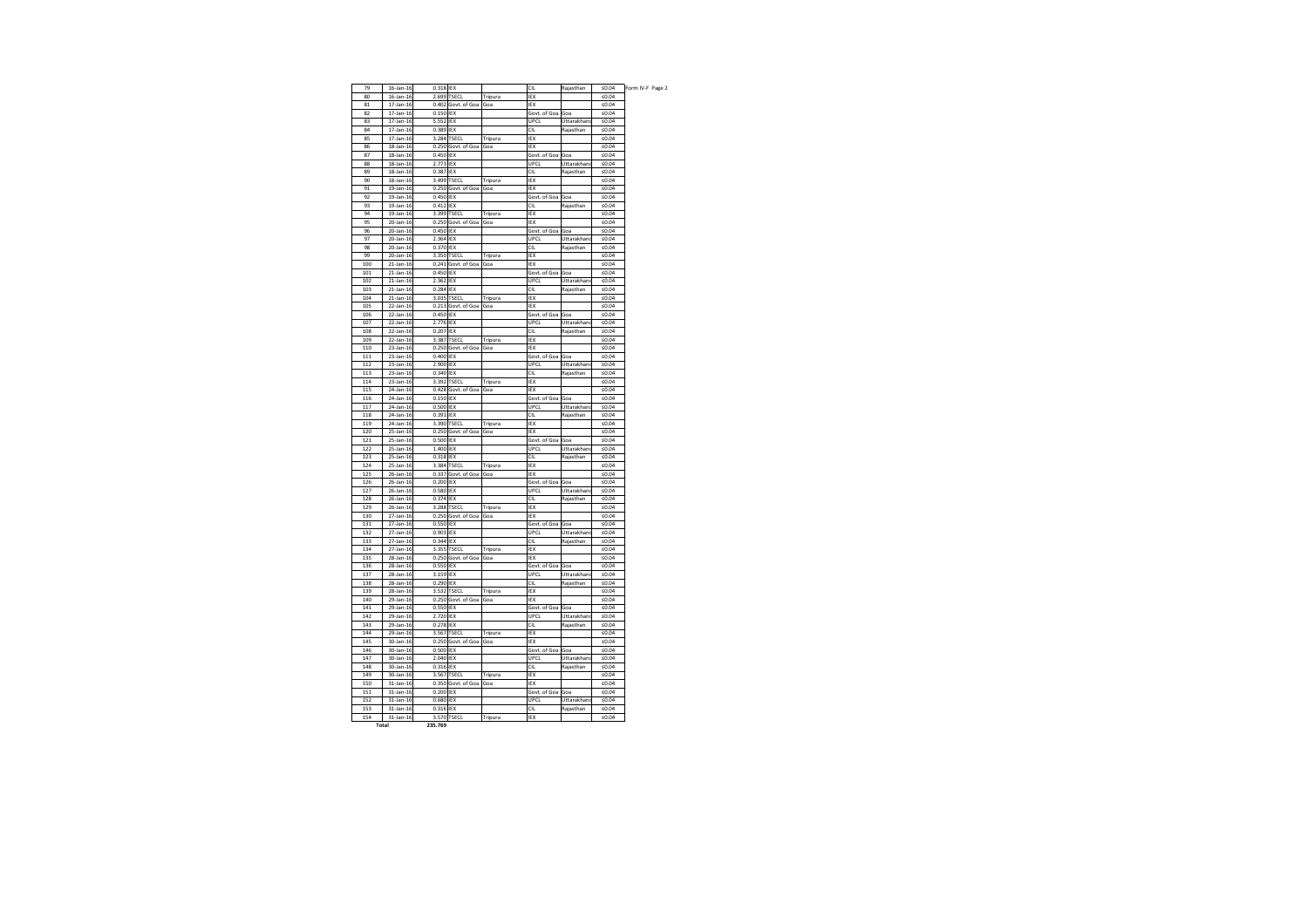| L                                 | Rajasthan                | $≤0.04$              | Form IV-F Page 2 |  |
|-----------------------------------|--------------------------|----------------------|------------------|--|
| X                                 |                          | $≤0.04$              |                  |  |
| X                                 |                          | $≤0.04$              |                  |  |
| ovt. of Goa<br>PCL                | Goa<br>Uttarakhand       | ≤0.04<br>≤ $0.04$    |                  |  |
| L                                 | Rajasthan                | $≤0.04$              |                  |  |
| X                                 |                          | $≤0.04$              |                  |  |
| X                                 |                          | ≤ $0.04$             |                  |  |
| ovt. of Goa                       | Goa                      | $≤0.04$              |                  |  |
| PCL                               | Uttarakhand              | $≤0.04$              |                  |  |
| L                                 | Rajasthan                | $≤0.04$              |                  |  |
| X                                 |                          | ≤ $0.04$             |                  |  |
| X                                 |                          | $≤0.04$              |                  |  |
| ovt. of Goa                       | Goa                      | $≤0.04$              |                  |  |
| L                                 | Rajasthan                | $≤0.04$              |                  |  |
| X                                 |                          | ≤ $0.04$             |                  |  |
| X                                 |                          | $≤0.04$              |                  |  |
| ovt. of Goa                       | Goa                      | $≤0.04$              |                  |  |
| PCL                               | Uttarakhand              | $≤0.04$              |                  |  |
| L                                 | Rajasthan                | ≤0.04                |                  |  |
| X                                 |                          | $≤0.04$              |                  |  |
| X                                 |                          | $≤0.04$              |                  |  |
| ovt. of Goa<br>PCL                | Goa<br>Uttarakhanc       | $≤0.04$<br>≤0.04     |                  |  |
| L                                 | Rajasthan                | $≤0.04$              |                  |  |
| X                                 |                          | ≤ $0.04$             |                  |  |
| X                                 |                          | $≤0.04$              |                  |  |
| ovt. of Goa                       | Goa                      | $≤0.04$              |                  |  |
| PCL                               | Uttarakhand              | $≤0.04$              |                  |  |
| L                                 | Rajasthan                | $≤0.04$              |                  |  |
| X                                 |                          | ≤ $0.04$             |                  |  |
| X                                 |                          | ≤0.04                |                  |  |
| ovt. of Goa                       | Goa                      | $≤0.04$              |                  |  |
| PCL                               | Uttarakhand              | $≤0.04$              |                  |  |
| L                                 | Rajasthan                | ≤ $0.04$             |                  |  |
| X                                 |                          | $≤0.04$              |                  |  |
| X                                 |                          | $≤0.04$              |                  |  |
| ovt. of Goa                       | Goa                      | $≤0.04$              |                  |  |
|                                   |                          |                      |                  |  |
|                                   | Uttarakhand              | ≤0.04                |                  |  |
| PCL<br>L                          | Rajasthan                | $≤0.04$              |                  |  |
| X                                 |                          | ≤0.04                |                  |  |
| X                                 |                          | $≤0.04$              |                  |  |
| ovt. of Goa                       | Goa                      | ≤ $0.04$             |                  |  |
| PCL                               | Uttarakhand              | $≤0.04$              |                  |  |
| L                                 | Rajasthan                | $≤0.04$              |                  |  |
| X                                 |                          | $≤0.04$              |                  |  |
| X<br>ovt. of Goa                  | Goa                      | ≤0.04<br>$≤0.04$     |                  |  |
| PCL                               | Uttarakhand              | $≤0.04$              |                  |  |
| L                                 | Rajasthan                | ≤ $0.04$             |                  |  |
|                                   |                          | $≤0.04$              |                  |  |
| X<br>X                            |                          | $≤0.04$              |                  |  |
| ovt. of Goa                       | Goa                      | $≤0.04$              |                  |  |
|                                   | Uttarakhand              | ≤0.04                |                  |  |
|                                   | Rajasthan                | $≤0.04$              |                  |  |
|                                   |                          | $≤0.04$              |                  |  |
|                                   |                          | $≤0.04$              |                  |  |
| PCL<br>L<br>X<br>X<br>ovt. of Goa | Goa                      | $≤0.04$              |                  |  |
|                                   | Uttarakhand              | ≤ $0.04$             |                  |  |
| PCL<br>L                          | Rajasthan                | ≤0.04                |                  |  |
|                                   |                          | $≤0.04$              |                  |  |
|                                   |                          | $≤0.04$              |                  |  |
| X<br>X<br>ovt. of Goa             | Goa                      | $≤0.04$              |                  |  |
|                                   | Uttarakhand<br>Rajasthan | ≤ $0.04$<br>≤ $0.04$ |                  |  |
|                                   |                          | ≤ $0.04$             |                  |  |
|                                   |                          | ≤ $0.04$             |                  |  |
| PCL<br>L<br>X<br>X<br>ovt. of Goa | Goa                      | $≤0.04$              |                  |  |
|                                   | Uttarakhand              | ≤ $0.04$             |                  |  |
|                                   | Rajasthan                | ≤ $0.04$             |                  |  |
|                                   |                          | ≤ $0.04$             |                  |  |
|                                   |                          | $≤0.04$              |                  |  |
| PCL<br>L<br>X<br>Χ<br>ovt. of Goa | Goa                      | ≤ $0.04$             |                  |  |
| PCL                               | Uttarakhand              | ≤ $0.04$             |                  |  |
| L<br>X                            | Rajasthan                | ≤0.04<br>$≤0.04$     |                  |  |

| 79  | 16-Jan-16       | $0.318$ IEX |                      |                | <b>CIL</b>       | Rajasthan   | ≤ $0.04$ |
|-----|-----------------|-------------|----------------------|----------------|------------------|-------------|----------|
| 80  | $16$ -Jan- $16$ |             | 2.699 TSECL          | <b>Tripura</b> | IEX              |             | ≤ $0.04$ |
| 81  | 17-Jan-16       |             | 0.402 Govt. of Goa   | Goa            | <b>IEX</b>       |             | ≤ $0.04$ |
| 82  | 17-Jan-16       | 0.150 IEX   |                      |                | Govt. of Goa     | Goa         | ≤0.04    |
| 83  | $17$ -Jan- $16$ | 5.552 IEX   |                      |                | <b>UPCL</b>      | Uttarakhand | $≤0.04$  |
| 84  | 17-Jan-16       | 0.389 IEX   |                      |                | <b>CIL</b>       | Rajasthan   | ≤ $0.04$ |
| 85  | 17-Jan-16       |             | 3.284 TSECL          | Tripura        | IEX              |             | ≤ $0.04$ |
|     |                 |             | 0.250 Govt. of Goa   |                |                  |             |          |
| 86  | 18-Jan-16       |             |                      | Goa            | IEX              |             | ≤0.04    |
| 87  | 18-Jan-16       | 0.450 IEX   |                      |                | Govt. of Goa     | Goa         | ≤ $0.04$ |
| 88  | 18-Jan-16       | 2.773 IEX   |                      |                | <b>UPCL</b>      | Uttarakhand | ≤ $0.04$ |
| 89  | 18-Jan-16       | 0.387 IEX   |                      |                | <b>CIL</b>       | Rajasthan   | ≤ $0.04$ |
| 90  | 18-Jan-16       |             | 3.499 TSECL          | Tripura        | IEX              |             | ≤0.04    |
| 91  | 19-Jan-16       |             | 0.250 Govt. of Goa   | Goa            | <b>IEX</b>       |             | ≤ $0.04$ |
| 92  | 19-Jan-16       | 0.450 IEX   |                      |                | Govt. of Goa     | Goa         | ≤0.04    |
| 93  | 19-Jan-16       | $0.412$ IEX |                      |                | <b>CIL</b>       | Rajasthan   | ≤ $0.04$ |
| 94  | 19-Jan-16       |             | 3.399 TSECL          | Tripura        | <b>IEX</b>       |             | ≤0.04    |
| 95  | 20-Jan-16       |             | 0.250 Govt. of Goa   | Goa            | <b>IEX</b>       |             | ≤ $0.04$ |
|     |                 | 0.450 IEX   |                      |                |                  |             |          |
| 96  | 20-Jan-16       |             |                      |                | Govt. of Goa     | Goa         | ≤0.04    |
| 97  | 20-Jan-16       | 2.364 IEX   |                      |                | <b>UPCL</b>      | Uttarakhand | ≤ $0.04$ |
| 98  | 20-Jan-16       | 0.370 IEX   |                      |                | CIL              | Rajasthan   | ≤0.04    |
| 99  | 20-Jan-16       |             | 3.350 TSECL          | Tripura        | IEX              |             | ≤ $0.04$ |
| 100 | 21-Jan-16       |             | 0.241 Govt. of Goa   | Goa            | IEX              |             | ≤ $0.04$ |
| 101 | $21$ -Jan-16    | 0.450 IEX   |                      |                | Govt. of Goa     | Goa         | ≤0.04    |
| 102 | $21$ -Jan-16    | 2.362 IEX   |                      |                | <b>UPCL</b>      | Uttarakhand | ≤0.04    |
| 103 | 21-Jan-16       | $0.284$ IEX |                      |                | <b>CIL</b>       | Rajasthan   | ≤0.04    |
| 104 | 21-Jan-16       |             | 3.035 TSECL          | <b>Tripura</b> | IEX              |             | ≤ $0.04$ |
| 105 | 22-Jan-16       |             | 0.213 Govt. of Goa   | Goa            | <b>IEX</b>       |             | ≤0.04    |
|     |                 |             |                      |                |                  |             |          |
| 106 | $22$ -Jan-16    | 0.450 IEX   |                      |                | Govt. of Goa     | Goa         | ≤ $0.04$ |
| 107 | 22-Jan-16       | 2.776 IEX   |                      |                | <b>UPCL</b>      | Uttarakhand | ≤ $0.04$ |
| 108 | 22-Jan-16       | 0.207 IEX   |                      |                | <b>CIL</b>       | Rajasthan   | ≤ $0.04$ |
| 109 | 22-Jan-16       |             | 3.387 TSECL          | Tripura        | IEX              |             | ≤ $0.04$ |
| 110 | 23-Jan-16       |             | $0.250$ Govt. of Goa | Goa            | IEX              |             | ≤ $0.04$ |
| 111 | 23-Jan-16       | 0.400 IEX   |                      |                | Govt. of Goa Goa |             | ≤0.04    |
| 112 | 23-Jan-16       | 2.900 IEX   |                      |                | <b>UPCL</b>      | Uttarakhand | $≤0.04$  |
| 113 | $23$ -Jan-16    | 0.340 IEX   |                      |                | <b>CIL</b>       | Rajasthan   | ≤ $0.04$ |
| 114 | 23-Jan-16       |             | 3.392 TSECL          | Tripura        | IEX              |             | ≤ $0.04$ |
|     |                 |             |                      |                |                  |             |          |
| 115 | 24-Jan-16       |             | 0.428 Govt. of Goa   | Goa            | IEX              |             | ≤ $0.04$ |
| 116 | 24-Jan-16       | $0.150$ IEX |                      |                | Govt. of Goa     | Goa         | $≤0.04$  |
| 117 | 24-Jan-16       | 0.500 IEX   |                      |                | <b>UPCL</b>      | Uttarakhand | ≤0.04    |
| 118 | 24-Jan-16       | 0.391 IEX   |                      |                | <b>CIL</b>       | Rajasthan   | $≤0.04$  |
| 119 | 24-Jan-16       |             | 3.390 TSECL          | Tripura        | IEX              |             | ≤0.04    |
| 120 | 25-Jan-16       |             | $0.250$ Govt. of Goa | Goa            | IEX              |             | ≤ $0.04$ |
| 121 | 25-Jan-16       | 0.500 IEX   |                      |                | Govt. of Goa Goa |             | $≤0.04$  |
| 122 | 25-Jan-16       | 1.400 IEX   |                      |                | <b>UPCL</b>      | Uttarakhand | ≤ $0.04$ |
| 123 | 25-Jan-16       | $0.318$ IEX |                      |                | <b>CIL</b>       | Rajasthan   | ≤ $0.04$ |
| 124 | 25-Jan-16       |             | 3.384 TSECL          | Tripura        | IEX              |             | ≤ $0.04$ |
|     |                 |             |                      |                |                  |             |          |
| 125 | 26-Jan-16       |             | 0.337 Govt. of Goa   | Goa            | IEX              |             | ≤0.04    |
| 126 | 26-Jan-16       | 0.200 IEX   |                      |                | Govt. of Goa Goa |             | $≤0.04$  |
| 127 | 26-Jan-16       | 0.580 IEX   |                      |                | <b>UPCL</b>      | Uttarakhand | ≤ $0.04$ |
| 128 | 26-Jan-16       | 0.374 IEX   |                      |                | <b>CIL</b>       | Rajasthan   | ≤0.04    |
| 129 | 26-Jan-16       |             | 3.288 TSECL          | Tripura        | IEX              |             | $≤0.04$  |
| 130 | 27-Jan-16       |             | 0.250 Govt. of Goa   | Goa            | IEX              |             | ≤0.04    |
| 131 | 27-Jan-16       | 0.550 IEX   |                      |                | Govt. of Goa Goa |             | $≤0.04$  |
| 132 | 27-Jan-16       | 0.903 IEX   |                      |                | <b>UPCL</b>      | Uttarakhand | $≤0.04$  |
| 133 | 27-Jan-16       | 0.344 IEX   |                      |                | <b>CIL</b>       | Rajasthan   | $≤0.04$  |
| 134 | 27-Jan-16       |             | 3.355 TSECL          | Tripura        | IEX              |             | $≤0.04$  |
|     |                 |             |                      |                |                  |             |          |
| 135 | 28-Jan-16       |             | 0.250 Govt. of Goa   | Goa            | IEX              |             | $≤0.04$  |
| 136 | 28-Jan-16       | 0.550 IEX   |                      |                | Govt. of Goa Goa |             | ≤ $0.04$ |
| 137 | 28-Jan-16       | 3.159 IEX   |                      |                | <b>UPCL</b>      | Uttarakhand | $≤0.04$  |
| 138 | 28-Jan-16       | 0.290 IEX   |                      |                | <b>CIL</b>       | Rajasthan   | ≤0.04    |
| 139 | 28-Jan-16       |             | 3.532 TSECL          | Tripura        | IEX              |             | ≤0.04    |
| 140 | 29-Jan-16       |             | 0.250 Govt. of Goa   | Goa            | IEX              |             | ≤ $0.04$ |
| 141 | 29-Jan-16       | 0.550 IEX   |                      |                | Govt. of Goa Goa |             | ≤ $0.04$ |
| 142 | 29-Jan-16       | 2.720 IEX   |                      |                | <b>UPCL</b>      | Uttarakhand | $≤0.04$  |
| 143 | 29-Jan-16       | $0.278$ IEX |                      |                | <b>CIL</b>       | Rajasthan   | ≤ $0.04$ |
|     |                 |             |                      |                |                  |             |          |
| 144 | 29-Jan-16       |             | 3.567 TSECL          | Tripura        | IEX              |             | ≤0.04    |
| 145 | 30-Jan-16       |             | 0.250 Govt. of Goa   | Goa            | IEX              |             | ≤ $0.04$ |
| 146 | 30-Jan-16       | 0.500 IEX   |                      |                | Govt. of Goa     | Goa         | ≤ $0.04$ |
| 147 | 30-Jan-16       | 2.040 IEX   |                      |                | <b>UPCL</b>      | Uttarakhand | ≤ $0.04$ |
| 148 | 30-Jan-16       | 0.316 IEX   |                      |                | <b>CIL</b>       | Rajasthan   | $≤0.04$  |
| 149 | 30-Jan-16       |             | 3.567 TSECL          | Tripura        | IEX              |             | $≤0.04$  |
| 150 | 31-Jan-16       |             | 0.350 Govt. of Goa   | Goa            | IEX              |             | $≤0.04$  |
| 151 | 31-Jan-16       | 0.200 IEX   |                      |                | Govt. of Goa     | Goa         | ≤ $0.04$ |
| 152 | 31-Jan-16       | 0.680 IEX   |                      |                | <b>UPCL</b>      | Uttarakhand | ≤ $0.04$ |
|     |                 |             |                      |                | <b>CIL</b>       |             |          |
| 153 | 31-Jan-16       | 0.316 IEX   |                      |                |                  | Rajasthan   | $≤0.04$  |
| 154 | 31-Jan-16       |             | 3.570 TSECL          | Tripura        | IEX              |             | ≤ $0.04$ |
|     | <b>Total</b>    | 235.769     |                      |                |                  |             |          |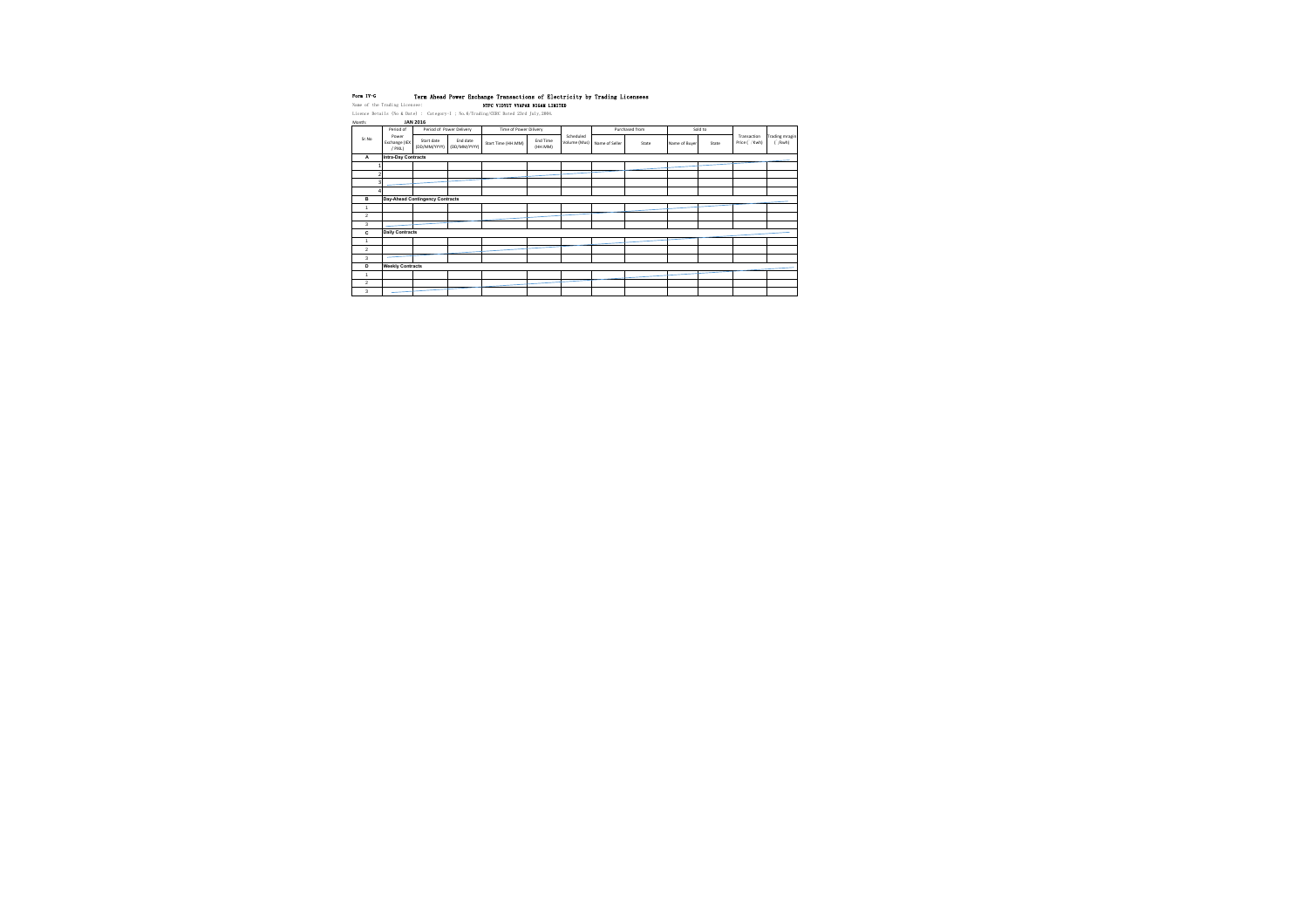## Form IV-G Term Ahead Power Exchange Transactions of Electricity by Trading Licensees Name of the Trading Licensee: Name of the Trading Licensee: NTPC VIDYUT VYAPAR NIGAM LIMITED

Licence Details (No & Date) : Category-I ; No.6/Trading/CERC Dated 23rd July,2004. Month: **JAN 2016**

| iviontn:       |                                   | JAN ZUID                        |                          |                        |                     |           |                             |                |               |         |                               |                                |
|----------------|-----------------------------------|---------------------------------|--------------------------|------------------------|---------------------|-----------|-----------------------------|----------------|---------------|---------|-------------------------------|--------------------------------|
|                | Period of                         |                                 | Period of Power Delivery | Time of Power Dilivery |                     |           |                             | Purchased from |               | Sold to |                               |                                |
| Sr.No          | Power<br>Exchange (IEX<br>/ PXIL) | Start date<br>(DD/MM/YYYY)      | End date<br>(DD/MM/YYYY) | Start Time (HH:MM)     | End Time<br>(HH:MM) | Scheduled | Volume (Mus) Name of Seller | State          | Name of Buyer | State   | Transaction<br>Price ( / Kwh) | Trading mragin<br>$\int$ /kwh) |
| A              | <b>Intra-Day Contracts</b>        |                                 |                          |                        |                     |           |                             |                |               |         |                               |                                |
|                |                                   |                                 |                          |                        |                     |           |                             |                |               |         |                               |                                |
| $\overline{2}$ |                                   |                                 |                          |                        |                     |           |                             |                |               |         |                               |                                |
| 3 <sub>l</sub> |                                   |                                 |                          |                        |                     |           |                             |                |               |         |                               |                                |
| 4              |                                   |                                 |                          |                        |                     |           |                             |                |               |         |                               |                                |
| в              |                                   | Day-Ahead Contingency Contracts |                          |                        |                     |           |                             |                |               |         |                               |                                |
| -1             |                                   |                                 |                          |                        |                     |           |                             |                |               |         |                               |                                |
| $\overline{2}$ |                                   |                                 |                          |                        |                     |           |                             |                |               |         |                               |                                |
| 3              |                                   |                                 |                          |                        |                     |           |                             |                |               |         |                               |                                |
| C              | <b>Daily Contracts</b>            |                                 |                          |                        |                     |           |                             |                |               |         |                               |                                |
| -1             |                                   |                                 |                          |                        |                     |           |                             |                |               |         |                               |                                |
| 2              |                                   |                                 |                          |                        |                     |           |                             |                |               |         |                               |                                |
| 3              |                                   |                                 |                          |                        |                     |           |                             |                |               |         |                               |                                |
| D              | <b>Weekly Contracts</b>           |                                 |                          |                        |                     |           |                             |                |               |         |                               |                                |
| -1             |                                   |                                 |                          |                        |                     |           |                             |                |               |         |                               |                                |
| $\overline{2}$ |                                   |                                 |                          |                        |                     |           |                             |                |               |         |                               |                                |
| 3              |                                   |                                 |                          |                        |                     |           |                             |                |               |         |                               |                                |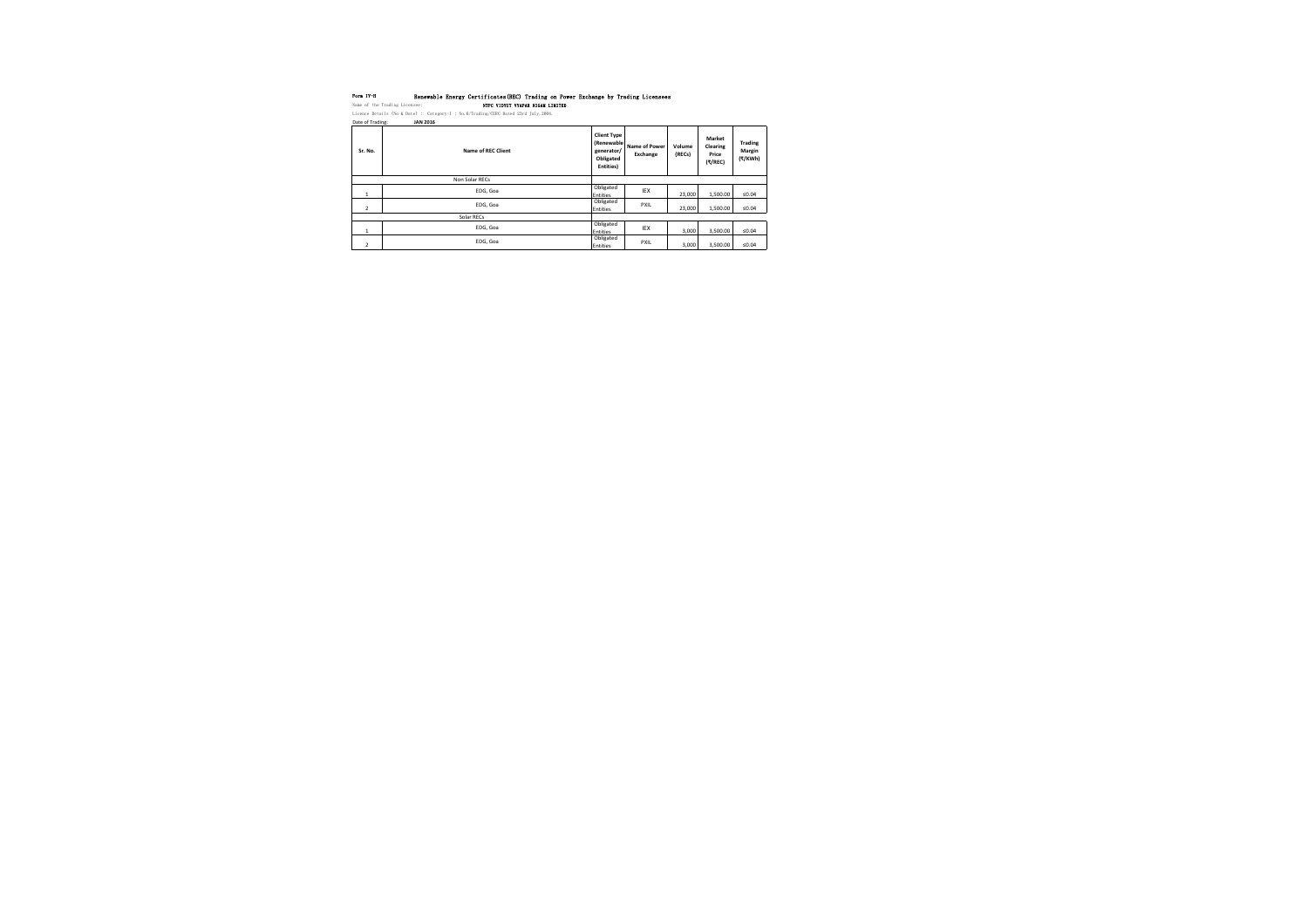| Form IV-H                     |                                                                              | Renewable Energy Certificates (REC) Tra |
|-------------------------------|------------------------------------------------------------------------------|-----------------------------------------|
| Name of the Trading Licensee: |                                                                              | NTPC VIDYUT VYAPAR                      |
|                               | Licence Details (No & Date) : Category-I ; No. $6/Trading/CERC$ Dated 23rd J |                                         |
| Date of Trading:              | <b>JAN 2016</b>                                                              |                                         |
|                               |                                                                              |                                         |
|                               |                                                                              |                                         |
|                               |                                                                              |                                         |

| Sr. No.        | <b>Name of REC Client</b> | <b>Client Type</b><br>(Renewable<br>generator/<br>Obligated<br>Entities) | <b>Name of Power</b><br>Exchange | Volume<br>(RECs) | <b>Market</b><br><b>Clearing</b><br>Price<br>(₹/REC) | <b>Trading</b><br><b>Margin</b><br>(₹/KWh) |
|----------------|---------------------------|--------------------------------------------------------------------------|----------------------------------|------------------|------------------------------------------------------|--------------------------------------------|
| Non Solar RECs |                           |                                                                          |                                  |                  |                                                      |                                            |
| $\perp$        | EDG, Goa                  | Obligated<br>Entities                                                    | IEX                              | 23,000           | 1,500.00                                             | ≤ $0.04$                                   |
| $\overline{2}$ | EDG, Goa                  | Obligated<br>Entities                                                    | <b>PXIL</b>                      | 23,000           | 1,500.00                                             | ≤ $0.04$                                   |
| Solar RECs     |                           |                                                                          |                                  |                  |                                                      |                                            |
| $\mathbf{1}$   | EDG, Goa                  | Obligated<br>Entities                                                    | <b>IEX</b>                       | 3,000            | 3,500.00                                             | ≤ $0.04$                                   |
| $\overline{2}$ | EDG, Goa                  | Obligated<br>Entities                                                    | <b>PXIL</b>                      | 3,000            | 3,500.00                                             | ≤ $0.04$                                   |

# Frading on Power Exchange by Trading Licensees<sup></sup> NAME OF TRADING AN

July, 2004.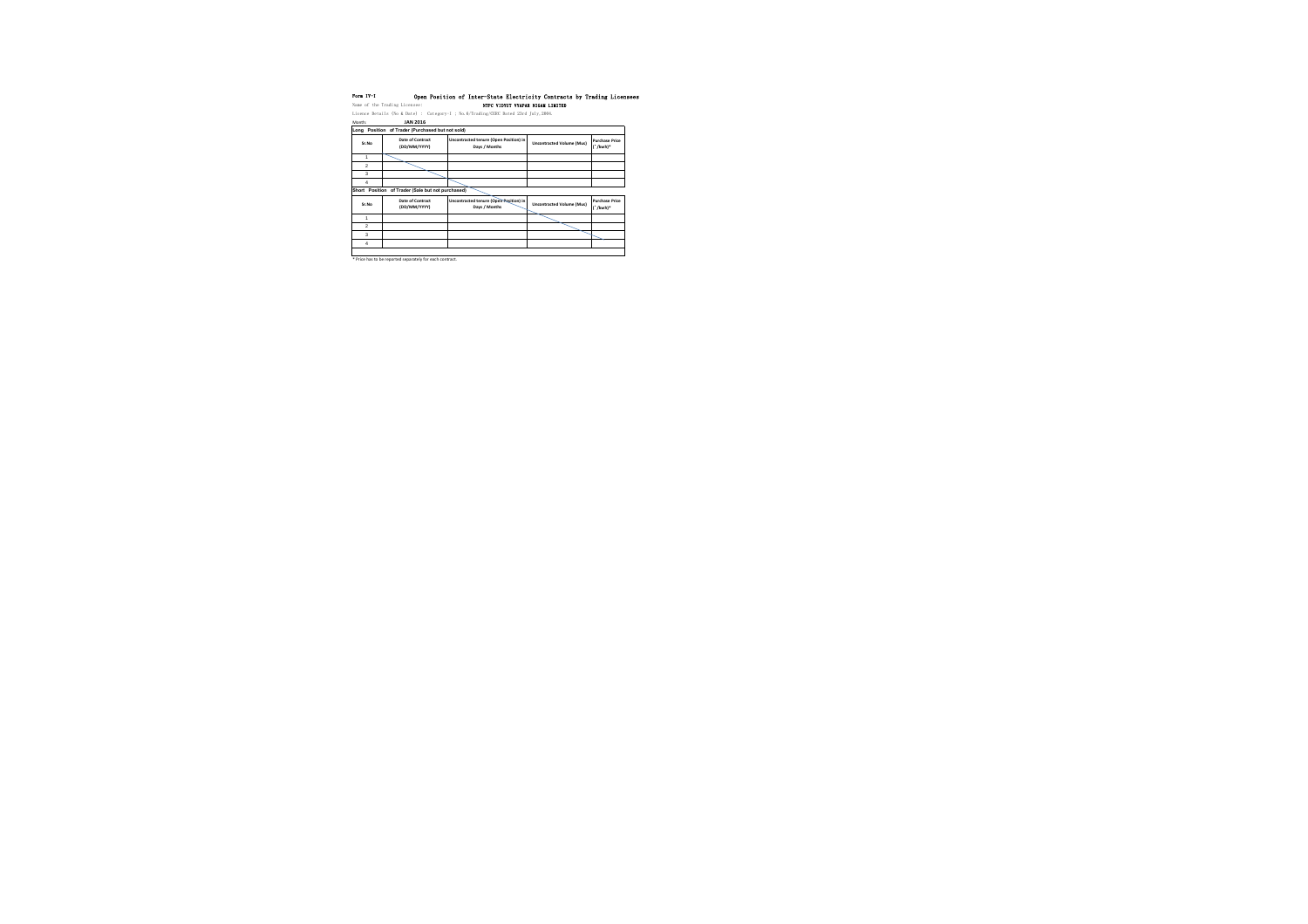| Form IV-I                                                                   |                 |  | Open Position of Inter-State Electric |  |
|-----------------------------------------------------------------------------|-----------------|--|---------------------------------------|--|
| Name of the Trading Licensee:                                               |                 |  | NTPC VIDYUT VYAPAR                    |  |
| Licence Details (No & Date) : Category-I ; No. $6/Trading/CERC$ Dated 23rd. |                 |  |                                       |  |
| Month:                                                                      | <b>JAN 2016</b> |  |                                       |  |

\* Price has to be reported separately for each contract.

### icity Contracts by Trading Licensees NAME OF TRADING AN  $d$  July, 2004.

| <b>IVIOHULE</b>                                  | JAIN CULD                                         |                                                         |                                  |                                        |  |  |  |  |
|--------------------------------------------------|---------------------------------------------------|---------------------------------------------------------|----------------------------------|----------------------------------------|--|--|--|--|
| Long Position of Trader (Purchased but not sold) |                                                   |                                                         |                                  |                                        |  |  |  |  |
| Sr.No                                            | <b>Date of Contract</b><br>(DD/MM/YYYY)           | Uncontracted tenure (Open Position) in<br>Days / Months | <b>Uncontracted Volume (Mus)</b> | <b>Purchase Price</b><br>$\int$ /kwh)* |  |  |  |  |
| 1                                                |                                                   |                                                         |                                  |                                        |  |  |  |  |
| 2                                                |                                                   |                                                         |                                  |                                        |  |  |  |  |
| 3                                                |                                                   |                                                         |                                  |                                        |  |  |  |  |
| 4                                                |                                                   |                                                         |                                  |                                        |  |  |  |  |
|                                                  | Short Position of Trader (Sale but not purchased) |                                                         |                                  |                                        |  |  |  |  |
| Sr.No                                            | <b>Date of Contract</b><br>(DD/MM/YYYY)           | Uncontracted tenure (Open Pesition) in<br>Days / Months | <b>Uncontracted Volume (Mus)</b> | <b>Purchase Price</b><br>$\int$ /kwh)* |  |  |  |  |
| 1                                                |                                                   |                                                         |                                  |                                        |  |  |  |  |
| 2                                                |                                                   |                                                         |                                  |                                        |  |  |  |  |
| 3                                                |                                                   |                                                         |                                  |                                        |  |  |  |  |
| 4                                                |                                                   |                                                         |                                  |                                        |  |  |  |  |
|                                                  |                                                   |                                                         |                                  |                                        |  |  |  |  |